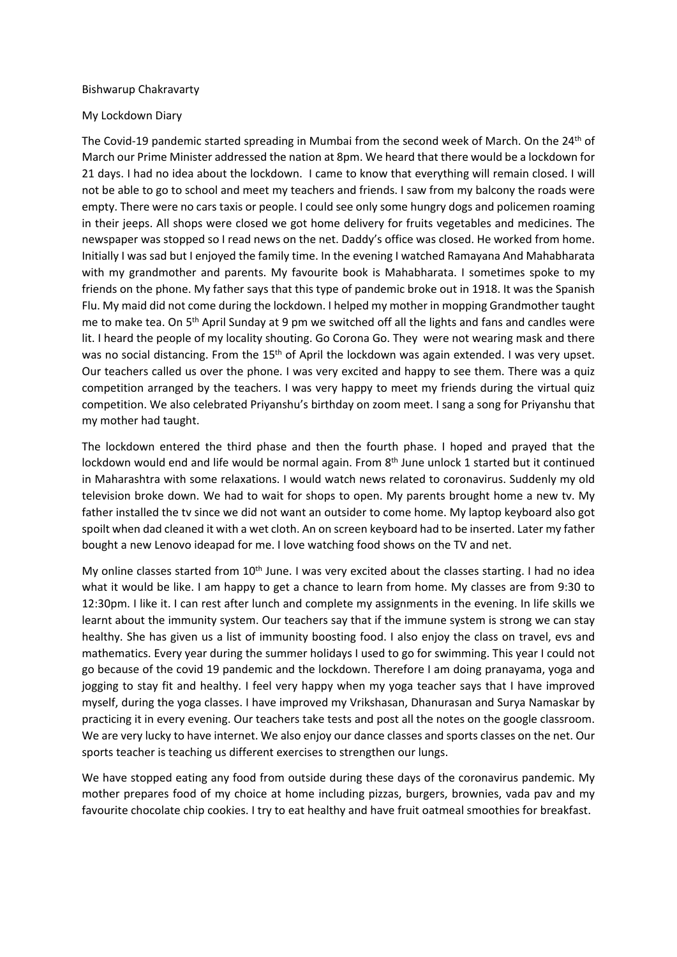## Bishwarup Chakravarty

## My Lockdown Diary

The Covid-19 pandemic started spreading in Mumbai from the second week of March. On the 24<sup>th</sup> of March our Prime Minister addressed the nation at 8pm. We heard that there would be a lockdown for 21 days. I had no idea about the lockdown. I came to know that everything will remain closed. I will not be able to go to school and meet my teachers and friends. I saw from my balcony the roads were empty. There were no cars taxis or people. I could see only some hungry dogs and policemen roaming in their jeeps. All shops were closed we got home delivery for fruits vegetables and medicines. The newspaper was stopped so I read news on the net. Daddy's office was closed. He worked from home. Initially I was sad but I enjoyed the family time. In the evening I watched Ramayana And Mahabharata with my grandmother and parents. My favourite book is Mahabharata. I sometimes spoke to my friends on the phone. My father says that this type of pandemic broke out in 1918. It was the Spanish Flu. My maid did not come during the lockdown. I helped my mother in mopping Grandmother taught me to make tea. On  $5<sup>th</sup>$  April Sunday at 9 pm we switched off all the lights and fans and candles were lit. I heard the people of my locality shouting. Go Corona Go. They were not wearing mask and there was no social distancing. From the 15<sup>th</sup> of April the lockdown was again extended. I was very upset. Our teachers called us over the phone. I was very excited and happy to see them. There was a quiz competition arranged by the teachers. I was very happy to meet my friends during the virtual quiz competition. We also celebrated Priyanshu's birthday on zoom meet. I sang a song for Priyanshu that my mother had taught.

The lockdown entered the third phase and then the fourth phase. I hoped and prayed that the lockdown would end and life would be normal again. From  $8<sup>th</sup>$  June unlock 1 started but it continued in Maharashtra with some relaxations. I would watch news related to coronavirus. Suddenly my old television broke down. We had to wait for shops to open. My parents brought home a new tv. My father installed the tv since we did not want an outsider to come home. My laptop keyboard also got spoilt when dad cleaned it with a wet cloth. An on screen keyboard had to be inserted. Later my father bought a new Lenovo ideapad for me. I love watching food shows on the TV and net.

My online classes started from  $10<sup>th</sup>$  June. I was very excited about the classes starting. I had no idea what it would be like. I am happy to get a chance to learn from home. My classes are from 9:30 to 12:30pm. I like it. I can rest after lunch and complete my assignments in the evening. In life skills we learnt about the immunity system. Our teachers say that if the immune system is strong we can stay healthy. She has given us a list of immunity boosting food. I also enjoy the class on travel, evs and mathematics. Every year during the summer holidays I used to go for swimming. This year I could not go because of the covid 19 pandemic and the lockdown. Therefore I am doing pranayama, yoga and jogging to stay fit and healthy. I feel very happy when my yoga teacher says that I have improved myself, during the yoga classes. I have improved my Vrikshasan, Dhanurasan and Surya Namaskar by practicing it in every evening. Our teachers take tests and post all the notes on the google classroom. We are very lucky to have internet. We also enjoy our dance classes and sports classes on the net. Our sports teacher is teaching us different exercises to strengthen our lungs.

We have stopped eating any food from outside during these days of the coronavirus pandemic. My mother prepares food of my choice at home including pizzas, burgers, brownies, vada pav and my favourite chocolate chip cookies. I try to eat healthy and have fruit oatmeal smoothies for breakfast.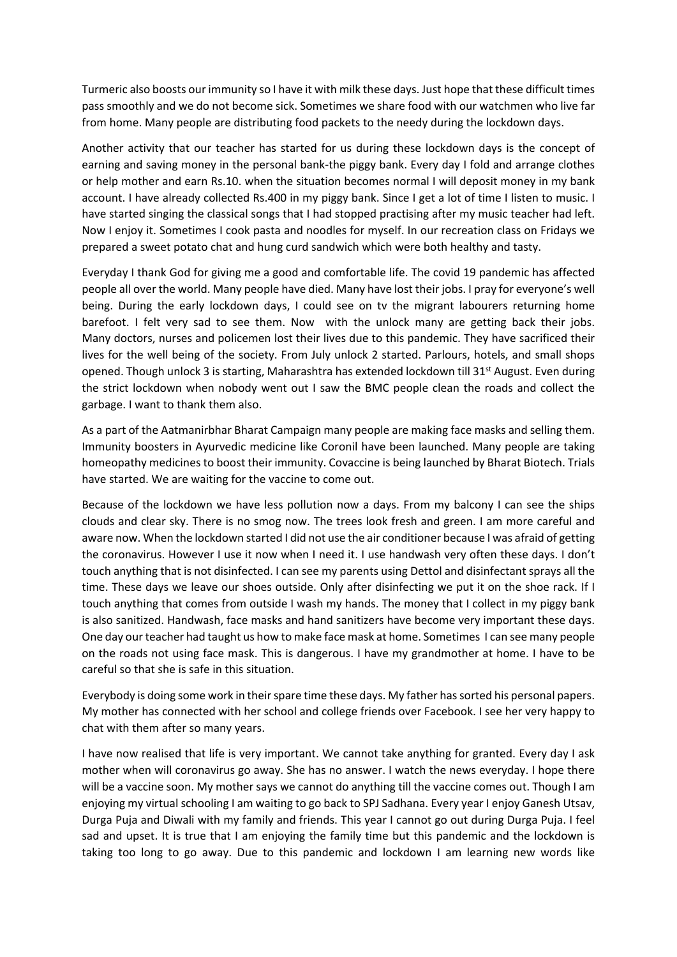Turmeric also boosts our immunity so I have it with milk these days. Just hope that these difficult times pass smoothly and we do not become sick. Sometimes we share food with our watchmen who live far from home. Many people are distributing food packets to the needy during the lockdown days.

Another activity that our teacher has started for us during these lockdown days is the concept of earning and saving money in the personal bank-the piggy bank. Every day I fold and arrange clothes or help mother and earn Rs.10. when the situation becomes normal I will deposit money in my bank account. I have already collected Rs.400 in my piggy bank. Since I get a lot of time I listen to music. I have started singing the classical songs that I had stopped practising after my music teacher had left. Now I enjoy it. Sometimes I cook pasta and noodles for myself. In our recreation class on Fridays we prepared a sweet potato chat and hung curd sandwich which were both healthy and tasty.

Everyday I thank God for giving me a good and comfortable life. The covid 19 pandemic has affected people all over the world. Many people have died. Many have lost their jobs. I pray for everyone's well being. During the early lockdown days, I could see on tv the migrant labourers returning home barefoot. I felt very sad to see them. Now with the unlock many are getting back their jobs. Many doctors, nurses and policemen lost their lives due to this pandemic. They have sacrificed their lives for the well being of the society. From July unlock 2 started. Parlours, hotels, and small shops opened. Though unlock 3 is starting, Maharashtra has extended lockdown till 31<sup>st</sup> August. Even during the strict lockdown when nobody went out I saw the BMC people clean the roads and collect the garbage. I want to thank them also.

As a part of the Aatmanirbhar Bharat Campaign many people are making face masks and selling them. Immunity boosters in Ayurvedic medicine like Coronil have been launched. Many people are taking homeopathy medicines to boost their immunity. Covaccine is being launched by Bharat Biotech. Trials have started. We are waiting for the vaccine to come out.

Because of the lockdown we have less pollution now a days. From my balcony I can see the ships clouds and clear sky. There is no smog now. The trees look fresh and green. I am more careful and aware now. When the lockdown started I did not use the air conditioner because I was afraid of getting the coronavirus. However I use it now when I need it. I use handwash very often these days. I don't touch anything that is not disinfected. I can see my parents using Dettol and disinfectant sprays all the time. These days we leave our shoes outside. Only after disinfecting we put it on the shoe rack. If I touch anything that comes from outside I wash my hands. The money that I collect in my piggy bank is also sanitized. Handwash, face masks and hand sanitizers have become very important these days. One day our teacher had taught us how to make face mask at home. Sometimes I can see many people on the roads not using face mask. This is dangerous. I have my grandmother at home. I have to be careful so that she is safe in this situation.

Everybody is doing some work in their spare time these days. My father has sorted his personal papers. My mother has connected with her school and college friends over Facebook. I see her very happy to chat with them after so many years.

I have now realised that life is very important. We cannot take anything for granted. Every day I ask mother when will coronavirus go away. She has no answer. I watch the news everyday. I hope there will be a vaccine soon. My mother says we cannot do anything till the vaccine comes out. Though I am enjoying my virtual schooling I am waiting to go back to SPJ Sadhana. Every year I enjoy Ganesh Utsav, Durga Puja and Diwali with my family and friends. This year I cannot go out during Durga Puja. I feel sad and upset. It is true that I am enjoying the family time but this pandemic and the lockdown is taking too long to go away. Due to this pandemic and lockdown I am learning new words like